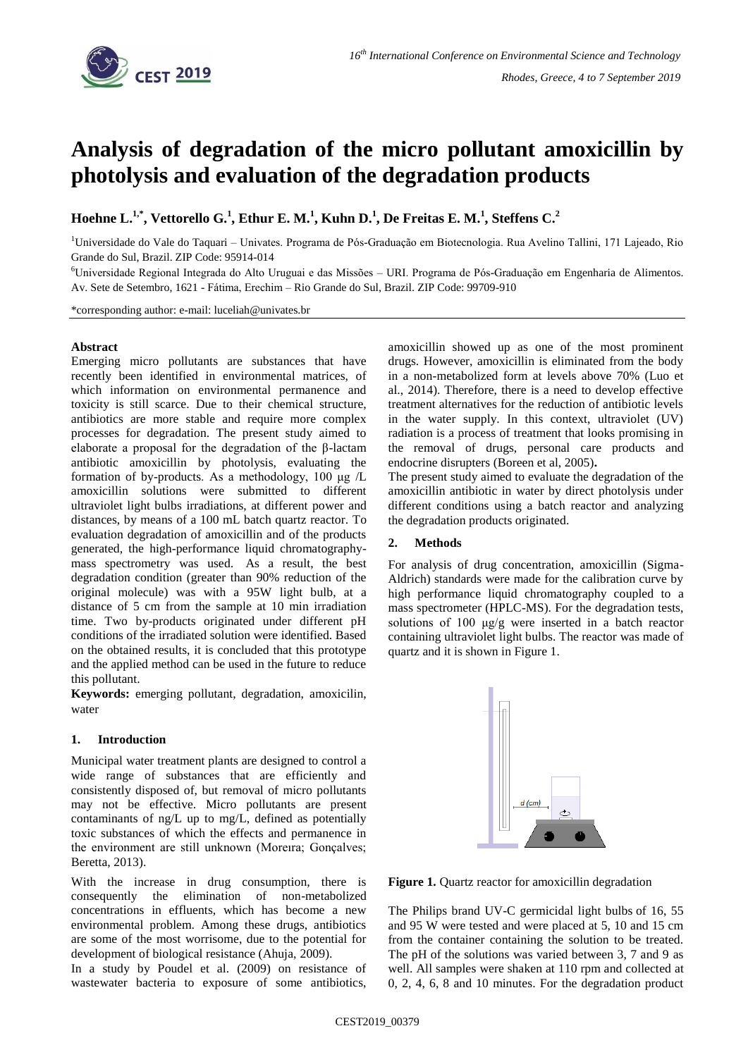

# **Analysis of degradation of the micro pollutant amoxicillin by photolysis and evaluation of the degradation products**

**Hoehne L. 1,\* , Vettorello G. 1 , Ethur E. M.<sup>1</sup> , Kuhn D. 1 , De Freitas E. M.<sup>1</sup> , Steffens C.<sup>2</sup>**

<sup>1</sup>Universidade do Vale do Taquari – Univates. Programa de Pós-Graduação em Biotecnologia. Rua Avelino Tallini, 171 Lajeado, Rio Grande do Sul, Brazil. ZIP Code: 95914-014

<sup>6</sup>Universidade Regional Integrada do Alto Uruguai e das Missões – URI. Programa de Pós-Graduação em Engenharia de Alimentos. Av. Sete de Setembro, 1621 - Fátima, Erechim – Rio Grande do Sul, Brazil. ZIP Code: 99709-910

\*corresponding author: e-mail: luceliah@univates.br

# **Abstract**

Emerging micro pollutants are substances that have recently been identified in environmental matrices, of which information on environmental permanence and toxicity is still scarce. Due to their chemical structure, antibiotics are more stable and require more complex processes for degradation. The present study aimed to elaborate a proposal for the degradation of the β-lactam antibiotic amoxicillin by photolysis, evaluating the formation of by-products. As a methodology, 100 μg /L amoxicillin solutions were submitted to different ultraviolet light bulbs irradiations, at different power and distances, by means of a 100 mL batch quartz reactor. To evaluation degradation of amoxicillin and of the products generated, the high-performance liquid chromatographymass spectrometry was used. As a result, the best degradation condition (greater than 90% reduction of the original molecule) was with a 95W light bulb, at a distance of 5 cm from the sample at 10 min irradiation time. Two by-products originated under different pH conditions of the irradiated solution were identified. Based on the obtained results, it is concluded that this prototype and the applied method can be used in the future to reduce this pollutant.

**Keywords:** emerging pollutant, degradation, amoxicilin, water

#### **1. Introduction**

Municipal water treatment plants are designed to control a wide range of substances that are efficiently and consistently disposed of, but removal of micro pollutants may not be effective. Micro pollutants are present contaminants of ng/L up to mg/L, defined as potentially toxic substances of which the effects and permanence in the environment are still unknown (Moreıra; Gonçalves; Beretta, 2013).

With the increase in drug consumption, there is consequently the elimination of non-metabolized concentrations in effluents, which has become a new environmental problem. Among these drugs, antibiotics are some of the most worrisome, due to the potential for development of biological resistance (Ahuja, 2009).

In a study by Poudel et al. (2009) on resistance of wastewater bacteria to exposure of some antibiotics, amoxicillin showed up as one of the most prominent drugs. However, amoxicillin is eliminated from the body in a non-metabolized form at levels above 70% (Luo et al., 2014). Therefore, there is a need to develop effective treatment alternatives for the reduction of antibiotic levels in the water supply. In this context, ultraviolet (UV) radiation is a process of treatment that looks promising in the removal of drugs, personal care products and endocrine disrupters (Boreen et al, 2005)**.**

The present study aimed to evaluate the degradation of the amoxicillin antibiotic in water by direct photolysis under different conditions using a batch reactor and analyzing the degradation products originated.

## **2. Methods**

For analysis of drug concentration, amoxicillin (Sigma-Aldrich) standards were made for the calibration curve by high performance liquid chromatography coupled to a mass spectrometer (HPLC-MS). For the degradation tests, solutions of 100 μg/g were inserted in a batch reactor containing ultraviolet light bulbs. The reactor was made of quartz and it is shown in Figure 1.



Figure 1. Quartz reactor for amoxicillin degradation

The Philips brand UV-C germicidal light bulbs of 16, 55 and 95 W were tested and were placed at 5, 10 and 15 cm from the container containing the solution to be treated. The pH of the solutions was varied between 3, 7 and 9 as well. All samples were shaken at 110 rpm and collected at 0, 2, 4, 6, 8 and 10 minutes. For the degradation product